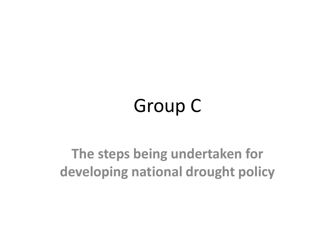## Group C

## **The steps being undertaken for developing national drought policy**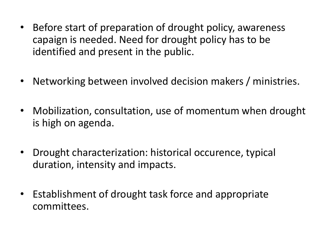- Before start of preparation of drought policy, awareness capaign is needed. Need for drought policy has to be identified and present in the public.
- Networking between involved decision makers / ministries.
- Mobilization, consultation, use of momentum when drought is high on agenda.
- Drought characterization: historical occurence, typical duration, intensity and impacts.
- Establishment of drought task force and appropriate committees.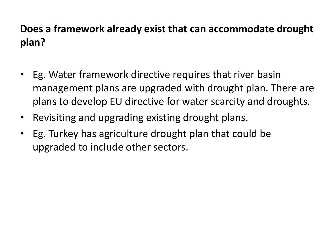## **Does a framework already exist that can accommodate drought plan?**

- Eg. Water framework directive requires that river basin management plans are upgraded with drought plan. There are plans to develop EU directive for water scarcity and droughts.
- Revisiting and upgrading existing drought plans.
- Eg. Turkey has agriculture drought plan that could be upgraded to include other sectors.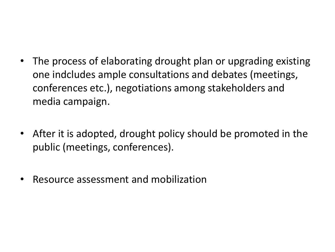- The process of elaborating drought plan or upgrading existing one indcludes ample consultations and debates (meetings, conferences etc.), negotiations among stakeholders and media campaign.
- After it is adopted, drought policy should be promoted in the public (meetings, conferences).
- Resource assessment and mobilization